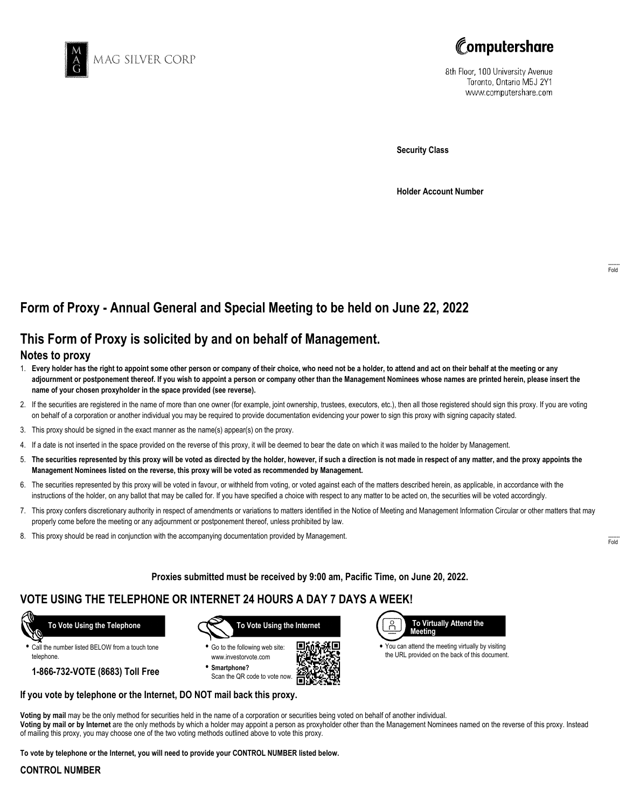



8th Floor, 100 University Avenue Toronto, Ontario M5J 2Y1 www.computershare.com

**Security Class**

**Holder Account Number**

# **Form of Proxy - Annual General and Special Meeting to be held on June 22, 2022**

# **This Form of Proxy is solicited by and on behalf of Management.**

### **Notes to proxy**

- 1. **Every holder has the right to appoint some other person or company of their choice, who need not be a holder, to attend and act on their behalf at the meeting or any adjournment or postponement thereof. If you wish to appoint a person or company other than the Management Nominees whose names are printed herein, please insert the name of your chosen proxyholder in the space provided (see reverse).**
- 2. If the securities are registered in the name of more than one owner (for example, joint ownership, trustees, executors, etc.), then all those registered should sign this proxy. If you are voting on behalf of a corporation or another individual you may be required to provide documentation evidencing your power to sign this proxy with signing capacity stated.
- 3. This proxy should be signed in the exact manner as the name(s) appear(s) on the proxy.
- 4. If a date is not inserted in the space provided on the reverse of this proxy, it will be deemed to bear the date on which it was mailed to the holder by Management.
- 5. **The securities represented by this proxy will be voted as directed by the holder, however, if such a direction is not made in respect of any matter, and the proxy appoints the Management Nominees listed on the reverse, this proxy will be voted as recommended by Management.**
- 6. The securities represented by this proxy will be voted in favour, or withheld from voting, or voted against each of the matters described herein, as applicable, in accordance with the instructions of the holder, on any ballot that may be called for. If you have specified a choice with respect to any matter to be acted on, the securities will be voted accordingly.
- 7. This proxy confers discretionary authority in respect of amendments or variations to matters identified in the Notice of Meeting and Management Information Circular or other matters that may properly come before the meeting or any adjournment or postponement thereof, unless prohibited by law.
- 8. This proxy should be read in conjunction with the accompanying documentation provided by Management.

**Proxies submitted must be received by 9:00 am, Pacific Time, on June 20, 2022.**

. Г.

## **VOTE USING THE TELEPHONE OR INTERNET 24 HOURS A DAY 7 DAYS A WEEK!**



**•** Call the number listed BELOW from a touch tone telephone.

**1-866-732-VOTE (8683) Toll Free**



**•** Go to the following web site: www.investorvote.com **• Smartphone?**

Scan the QR code to vote now.



**•** You can attend the meeting virtually by visiting the URL provided on the back of this document.

#### **If you vote by telephone or the Internet, DO NOT mail back this proxy.**

**Voting by mail** may be the only method for securities held in the name of a corporation or securities being voted on behalf of another individual. **Voting by mail or by Internet** are the only methods by which a holder may appoint a person as proxyholder other than the Management Nominees named on the reverse of this proxy. Instead of mailing this proxy, you may choose one of the two voting methods outlined above to vote this proxy.

**To vote by telephone or the Internet, you will need to provide your CONTROL NUMBER listed below.**

#### **CONTROL NUMBER**